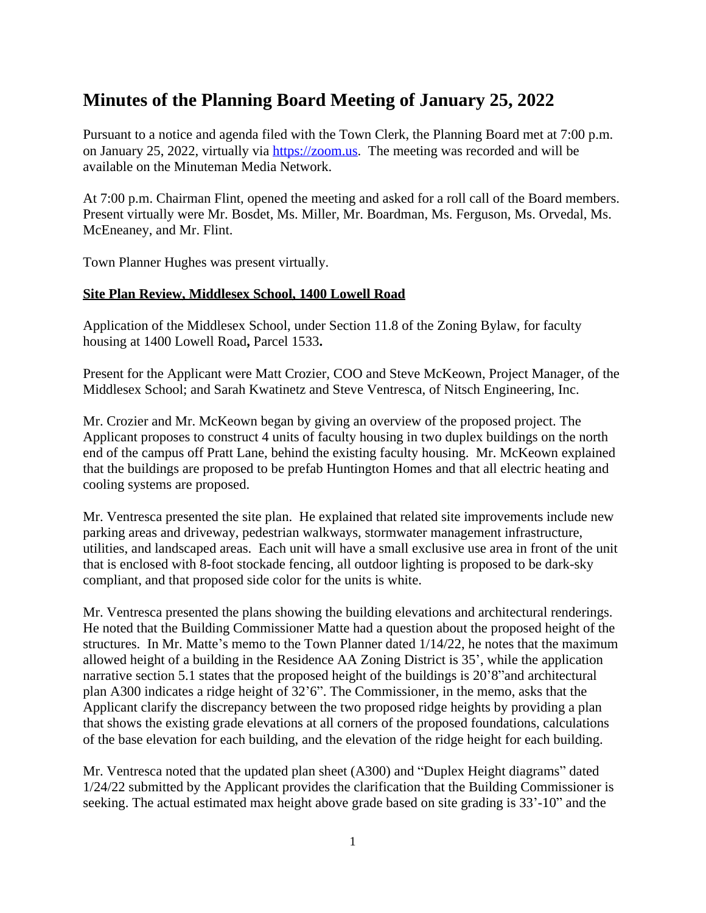# **Minutes of the Planning Board Meeting of January 25, 2022**

Pursuant to a notice and agenda filed with the Town Clerk, the Planning Board met at 7:00 p.m. on January 25, 2022, virtually via <https://zoom.us>. The meeting was recorded and will be available on the Minuteman Media Network.

At 7:00 p.m. Chairman Flint, opened the meeting and asked for a roll call of the Board members. Present virtually were Mr. Bosdet, Ms. Miller, Mr. Boardman, Ms. Ferguson, Ms. Orvedal, Ms. McEneaney, and Mr. Flint.

Town Planner Hughes was present virtually.

#### **Site Plan Review, Middlesex School, 1400 Lowell Road**

Application of the Middlesex School, under Section 11.8 of the Zoning Bylaw, for faculty housing at 1400 Lowell Road**,** Parcel 1533**.**

Present for the Applicant were Matt Crozier, COO and Steve McKeown, Project Manager, of the Middlesex School; and Sarah Kwatinetz and Steve Ventresca, of Nitsch Engineering, Inc.

Mr. Crozier and Mr. McKeown began by giving an overview of the proposed project. The Applicant proposes to construct 4 units of faculty housing in two duplex buildings on the north end of the campus off Pratt Lane, behind the existing faculty housing. Mr. McKeown explained that the buildings are proposed to be prefab Huntington Homes and that all electric heating and cooling systems are proposed.

Mr. Ventresca presented the site plan. He explained that related site improvements include new parking areas and driveway, pedestrian walkways, stormwater management infrastructure, utilities, and landscaped areas. Each unit will have a small exclusive use area in front of the unit that is enclosed with 8-foot stockade fencing, all outdoor lighting is proposed to be dark-sky compliant, and that proposed side color for the units is white.

Mr. Ventresca presented the plans showing the building elevations and architectural renderings. He noted that the Building Commissioner Matte had a question about the proposed height of the structures. In Mr. Matte's memo to the Town Planner dated 1/14/22, he notes that the maximum allowed height of a building in the Residence AA Zoning District is 35', while the application narrative section 5.1 states that the proposed height of the buildings is 20'8"and architectural plan A300 indicates a ridge height of 32'6". The Commissioner, in the memo, asks that the Applicant clarify the discrepancy between the two proposed ridge heights by providing a plan that shows the existing grade elevations at all corners of the proposed foundations, calculations of the base elevation for each building, and the elevation of the ridge height for each building.

Mr. Ventresca noted that the updated plan sheet (A300) and "Duplex Height diagrams" dated 1/24/22 submitted by the Applicant provides the clarification that the Building Commissioner is seeking. The actual estimated max height above grade based on site grading is 33'-10" and the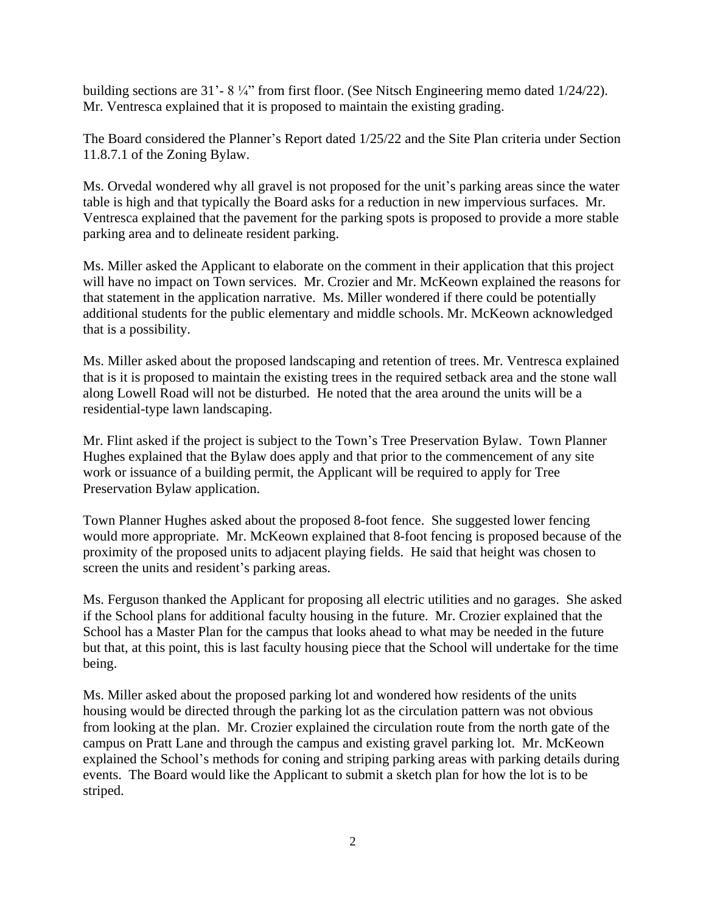building sections are 31'- 8 ¼" from first floor. (See Nitsch Engineering memo dated 1/24/22). Mr. Ventresca explained that it is proposed to maintain the existing grading.

The Board considered the Planner's Report dated 1/25/22 and the Site Plan criteria under Section 11.8.7.1 of the Zoning Bylaw.

Ms. Orvedal wondered why all gravel is not proposed for the unit's parking areas since the water table is high and that typically the Board asks for a reduction in new impervious surfaces. Mr. Ventresca explained that the pavement for the parking spots is proposed to provide a more stable parking area and to delineate resident parking.

Ms. Miller asked the Applicant to elaborate on the comment in their application that this project will have no impact on Town services. Mr. Crozier and Mr. McKeown explained the reasons for that statement in the application narrative. Ms. Miller wondered if there could be potentially additional students for the public elementary and middle schools. Mr. McKeown acknowledged that is a possibility.

Ms. Miller asked about the proposed landscaping and retention of trees. Mr. Ventresca explained that is it is proposed to maintain the existing trees in the required setback area and the stone wall along Lowell Road will not be disturbed. He noted that the area around the units will be a residential-type lawn landscaping.

Mr. Flint asked if the project is subject to the Town's Tree Preservation Bylaw. Town Planner Hughes explained that the Bylaw does apply and that prior to the commencement of any site work or issuance of a building permit, the Applicant will be required to apply for Tree Preservation Bylaw application.

Town Planner Hughes asked about the proposed 8-foot fence. She suggested lower fencing would more appropriate. Mr. McKeown explained that 8-foot fencing is proposed because of the proximity of the proposed units to adjacent playing fields. He said that height was chosen to screen the units and resident's parking areas.

Ms. Ferguson thanked the Applicant for proposing all electric utilities and no garages. She asked if the School plans for additional faculty housing in the future. Mr. Crozier explained that the School has a Master Plan for the campus that looks ahead to what may be needed in the future but that, at this point, this is last faculty housing piece that the School will undertake for the time being.

Ms. Miller asked about the proposed parking lot and wondered how residents of the units housing would be directed through the parking lot as the circulation pattern was not obvious from looking at the plan. Mr. Crozier explained the circulation route from the north gate of the campus on Pratt Lane and through the campus and existing gravel parking lot. Mr. McKeown explained the School's methods for coning and striping parking areas with parking details during events. The Board would like the Applicant to submit a sketch plan for how the lot is to be striped.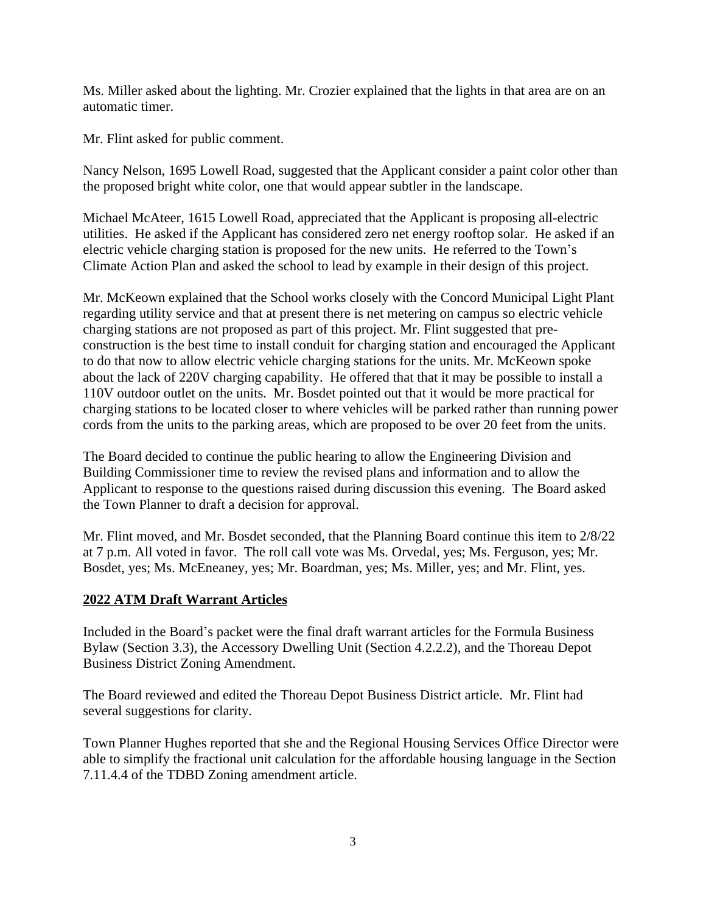Ms. Miller asked about the lighting. Mr. Crozier explained that the lights in that area are on an automatic timer.

Mr. Flint asked for public comment.

Nancy Nelson, 1695 Lowell Road, suggested that the Applicant consider a paint color other than the proposed bright white color, one that would appear subtler in the landscape.

Michael McAteer, 1615 Lowell Road, appreciated that the Applicant is proposing all-electric utilities. He asked if the Applicant has considered zero net energy rooftop solar. He asked if an electric vehicle charging station is proposed for the new units. He referred to the Town's Climate Action Plan and asked the school to lead by example in their design of this project.

Mr. McKeown explained that the School works closely with the Concord Municipal Light Plant regarding utility service and that at present there is net metering on campus so electric vehicle charging stations are not proposed as part of this project. Mr. Flint suggested that preconstruction is the best time to install conduit for charging station and encouraged the Applicant to do that now to allow electric vehicle charging stations for the units. Mr. McKeown spoke about the lack of 220V charging capability. He offered that that it may be possible to install a 110V outdoor outlet on the units. Mr. Bosdet pointed out that it would be more practical for charging stations to be located closer to where vehicles will be parked rather than running power cords from the units to the parking areas, which are proposed to be over 20 feet from the units.

The Board decided to continue the public hearing to allow the Engineering Division and Building Commissioner time to review the revised plans and information and to allow the Applicant to response to the questions raised during discussion this evening. The Board asked the Town Planner to draft a decision for approval.

Mr. Flint moved, and Mr. Bosdet seconded, that the Planning Board continue this item to 2/8/22 at 7 p.m. All voted in favor. The roll call vote was Ms. Orvedal, yes; Ms. Ferguson, yes; Mr. Bosdet, yes; Ms. McEneaney, yes; Mr. Boardman, yes; Ms. Miller, yes; and Mr. Flint, yes.

## **2022 ATM Draft Warrant Articles**

Included in the Board's packet were the final draft warrant articles for the Formula Business Bylaw (Section 3.3), the Accessory Dwelling Unit (Section 4.2.2.2), and the Thoreau Depot Business District Zoning Amendment.

The Board reviewed and edited the Thoreau Depot Business District article. Mr. Flint had several suggestions for clarity.

Town Planner Hughes reported that she and the Regional Housing Services Office Director were able to simplify the fractional unit calculation for the affordable housing language in the Section 7.11.4.4 of the TDBD Zoning amendment article.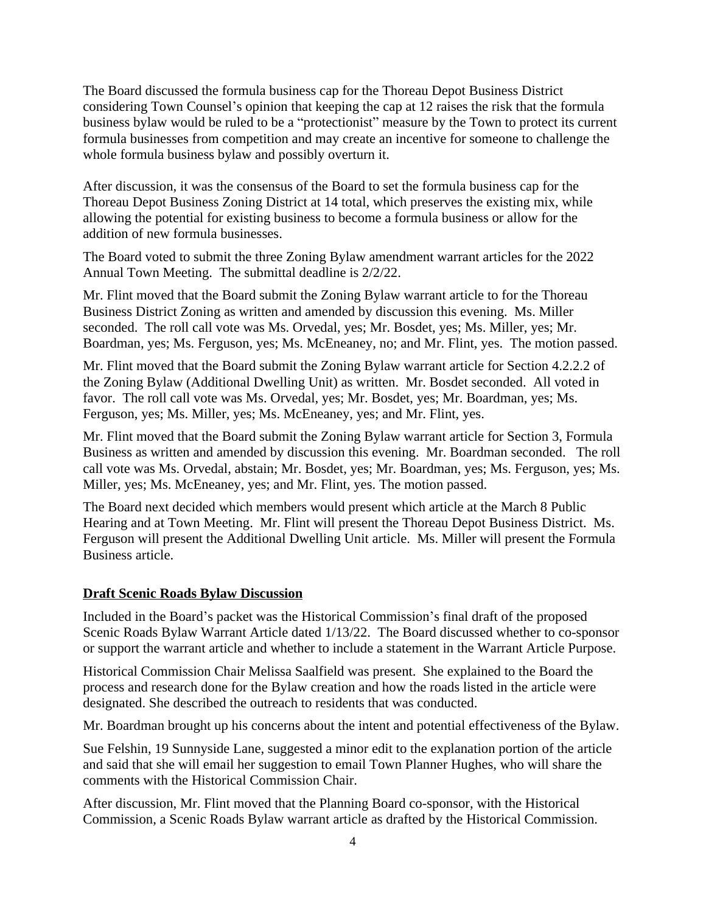The Board discussed the formula business cap for the Thoreau Depot Business District considering Town Counsel's opinion that keeping the cap at 12 raises the risk that the formula business bylaw would be ruled to be a "protectionist" measure by the Town to protect its current formula businesses from competition and may create an incentive for someone to challenge the whole formula business bylaw and possibly overturn it.

After discussion, it was the consensus of the Board to set the formula business cap for the Thoreau Depot Business Zoning District at 14 total, which preserves the existing mix, while allowing the potential for existing business to become a formula business or allow for the addition of new formula businesses.

The Board voted to submit the three Zoning Bylaw amendment warrant articles for the 2022 Annual Town Meeting. The submittal deadline is 2/2/22.

Mr. Flint moved that the Board submit the Zoning Bylaw warrant article to for the Thoreau Business District Zoning as written and amended by discussion this evening. Ms. Miller seconded. The roll call vote was Ms. Orvedal, yes; Mr. Bosdet, yes; Ms. Miller, yes; Mr. Boardman, yes; Ms. Ferguson, yes; Ms. McEneaney, no; and Mr. Flint, yes. The motion passed.

Mr. Flint moved that the Board submit the Zoning Bylaw warrant article for Section 4.2.2.2 of the Zoning Bylaw (Additional Dwelling Unit) as written. Mr. Bosdet seconded. All voted in favor. The roll call vote was Ms. Orvedal, yes; Mr. Bosdet, yes; Mr. Boardman, yes; Ms. Ferguson, yes; Ms. Miller, yes; Ms. McEneaney, yes; and Mr. Flint, yes.

Mr. Flint moved that the Board submit the Zoning Bylaw warrant article for Section 3, Formula Business as written and amended by discussion this evening. Mr. Boardman seconded. The roll call vote was Ms. Orvedal, abstain; Mr. Bosdet, yes; Mr. Boardman, yes; Ms. Ferguson, yes; Ms. Miller, yes; Ms. McEneaney, yes; and Mr. Flint, yes. The motion passed.

The Board next decided which members would present which article at the March 8 Public Hearing and at Town Meeting. Mr. Flint will present the Thoreau Depot Business District. Ms. Ferguson will present the Additional Dwelling Unit article. Ms. Miller will present the Formula Business article.

#### **Draft Scenic Roads Bylaw Discussion**

Included in the Board's packet was the Historical Commission's final draft of the proposed Scenic Roads Bylaw Warrant Article dated 1/13/22. The Board discussed whether to co-sponsor or support the warrant article and whether to include a statement in the Warrant Article Purpose.

Historical Commission Chair Melissa Saalfield was present. She explained to the Board the process and research done for the Bylaw creation and how the roads listed in the article were designated. She described the outreach to residents that was conducted.

Mr. Boardman brought up his concerns about the intent and potential effectiveness of the Bylaw.

Sue Felshin, 19 Sunnyside Lane, suggested a minor edit to the explanation portion of the article and said that she will email her suggestion to email Town Planner Hughes, who will share the comments with the Historical Commission Chair.

After discussion, Mr. Flint moved that the Planning Board co-sponsor, with the Historical Commission, a Scenic Roads Bylaw warrant article as drafted by the Historical Commission.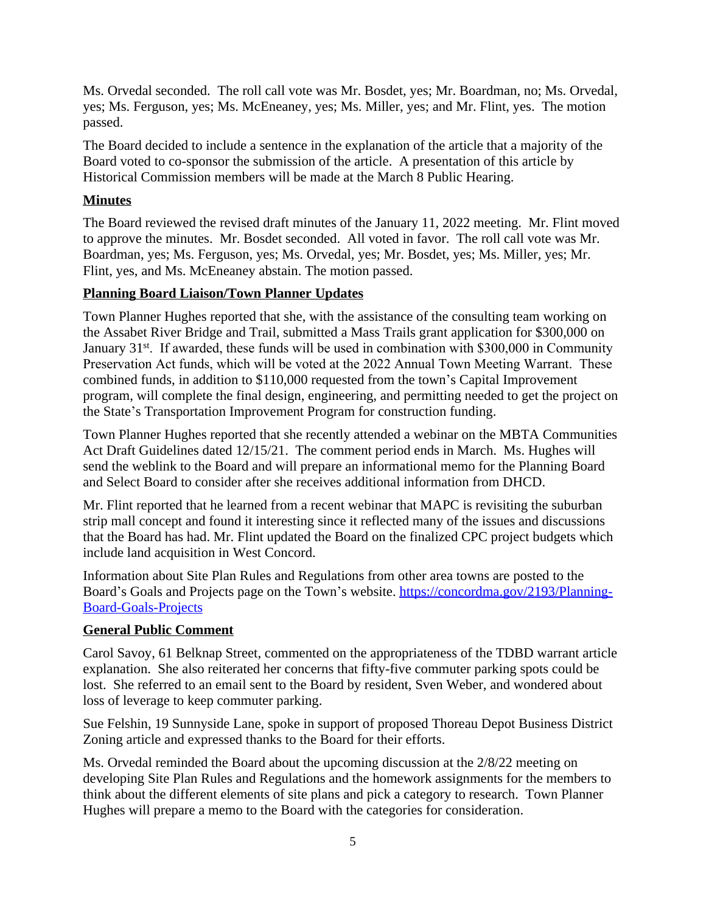Ms. Orvedal seconded. The roll call vote was Mr. Bosdet, yes; Mr. Boardman, no; Ms. Orvedal, yes; Ms. Ferguson, yes; Ms. McEneaney, yes; Ms. Miller, yes; and Mr. Flint, yes. The motion passed.

The Board decided to include a sentence in the explanation of the article that a majority of the Board voted to co-sponsor the submission of the article. A presentation of this article by Historical Commission members will be made at the March 8 Public Hearing.

## **Minutes**

The Board reviewed the revised draft minutes of the January 11, 2022 meeting. Mr. Flint moved to approve the minutes. Mr. Bosdet seconded. All voted in favor. The roll call vote was Mr. Boardman, yes; Ms. Ferguson, yes; Ms. Orvedal, yes; Mr. Bosdet, yes; Ms. Miller, yes; Mr. Flint, yes, and Ms. McEneaney abstain. The motion passed.

## **Planning Board Liaison/Town Planner Updates**

Town Planner Hughes reported that she, with the assistance of the consulting team working on the Assabet River Bridge and Trail, submitted a Mass Trails grant application for \$300,000 on January 31<sup>st</sup>. If awarded, these funds will be used in combination with \$300,000 in Community Preservation Act funds, which will be voted at the 2022 Annual Town Meeting Warrant. These combined funds, in addition to \$110,000 requested from the town's Capital Improvement program, will complete the final design, engineering, and permitting needed to get the project on the State's Transportation Improvement Program for construction funding.

Town Planner Hughes reported that she recently attended a webinar on the MBTA Communities Act Draft Guidelines dated 12/15/21. The comment period ends in March. Ms. Hughes will send the weblink to the Board and will prepare an informational memo for the Planning Board and Select Board to consider after she receives additional information from DHCD.

Mr. Flint reported that he learned from a recent webinar that MAPC is revisiting the suburban strip mall concept and found it interesting since it reflected many of the issues and discussions that the Board has had. Mr. Flint updated the Board on the finalized CPC project budgets which include land acquisition in West Concord.

Information about Site Plan Rules and Regulations from other area towns are posted to the Board's Goals and Projects page on the Town's website. [https://concordma.gov/2193/Planning-](https://concordma.gov/2193/Planning-Board-Goals-Projects)Board-Goals-Projects

## **General Public Comment**

Carol Savoy, 61 Belknap Street, commented on the appropriateness of the TDBD warrant article explanation. She also reiterated her concerns that fifty-five commuter parking spots could be lost. She referred to an email sent to the Board by resident, Sven Weber, and wondered about loss of leverage to keep commuter parking.

Sue Felshin, 19 Sunnyside Lane, spoke in support of proposed Thoreau Depot Business District Zoning article and expressed thanks to the Board for their efforts.

Ms. Orvedal reminded the Board about the upcoming discussion at the 2/8/22 meeting on developing Site Plan Rules and Regulations and the homework assignments for the members to think about the different elements of site plans and pick a category to research. Town Planner Hughes will prepare a memo to the Board with the categories for consideration.